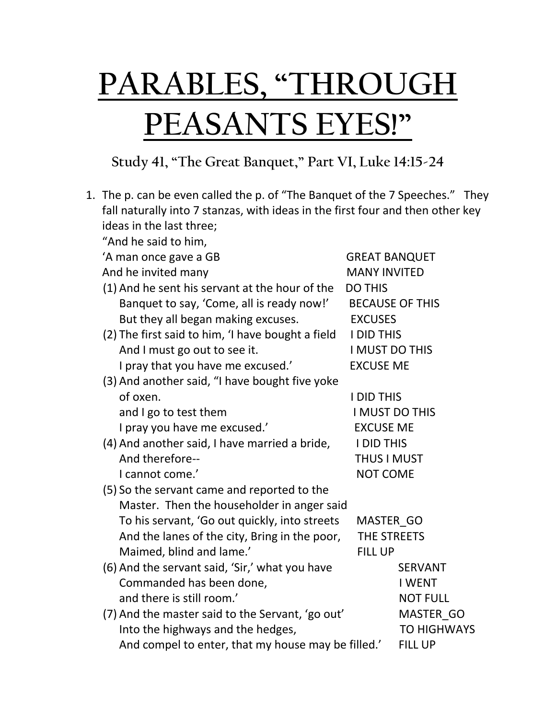## **PARABLES, "THROUGH PEASANTS EYES!"**

## **Study 41, "The Great Banquet," Part VI, Luke 14:15-24**

| 1. The p. can be even called the p. of "The Banquet of the 7 Speeches." They   |                        |  |  |  |
|--------------------------------------------------------------------------------|------------------------|--|--|--|
| fall naturally into 7 stanzas, with ideas in the first four and then other key |                        |  |  |  |
| ideas in the last three;                                                       |                        |  |  |  |
| "And he said to him,                                                           |                        |  |  |  |
| 'A man once gave a GB                                                          | <b>GREAT BANQUET</b>   |  |  |  |
| And he invited many                                                            | <b>MANY INVITED</b>    |  |  |  |
| (1) And he sent his servant at the hour of the                                 | <b>DO THIS</b>         |  |  |  |
| Banquet to say, 'Come, all is ready now!'                                      | <b>BECAUSE OF THIS</b> |  |  |  |
| But they all began making excuses.                                             | <b>EXCUSES</b>         |  |  |  |
| (2) The first said to him, 'I have bought a field                              | <b>I DID THIS</b>      |  |  |  |
| And I must go out to see it.                                                   | <b>I MUST DO THIS</b>  |  |  |  |
| I pray that you have me excused.'                                              | <b>EXCUSE ME</b>       |  |  |  |
| (3) And another said, "I have bought five yoke                                 |                        |  |  |  |
| of oxen.                                                                       | <b>I DID THIS</b>      |  |  |  |
| and I go to test them                                                          | <b>I MUST DO THIS</b>  |  |  |  |
| I pray you have me excused.'                                                   | <b>EXCUSE ME</b>       |  |  |  |
| (4) And another said, I have married a bride,                                  | <b>I DID THIS</b>      |  |  |  |
| And therefore--                                                                | <b>THUS I MUST</b>     |  |  |  |
| I cannot come.'                                                                | <b>NOT COME</b>        |  |  |  |
| (5) So the servant came and reported to the                                    |                        |  |  |  |
| Master. Then the householder in anger said                                     |                        |  |  |  |
| To his servant, 'Go out quickly, into streets                                  | MASTER GO              |  |  |  |
| And the lanes of the city, Bring in the poor,                                  | THE STREETS            |  |  |  |
| Maimed, blind and lame.'                                                       | <b>FILL UP</b>         |  |  |  |
| (6) And the servant said, 'Sir,' what you have                                 | <b>SERVANT</b>         |  |  |  |
| Commanded has been done,                                                       | <b>I WENT</b>          |  |  |  |
| and there is still room.'                                                      | <b>NOT FULL</b>        |  |  |  |
| (7) And the master said to the Servant, 'go out'                               | MASTER GO              |  |  |  |
| Into the highways and the hedges,                                              | <b>TO HIGHWAYS</b>     |  |  |  |
| And compel to enter, that my house may be filled.'                             | <b>FILL UP</b>         |  |  |  |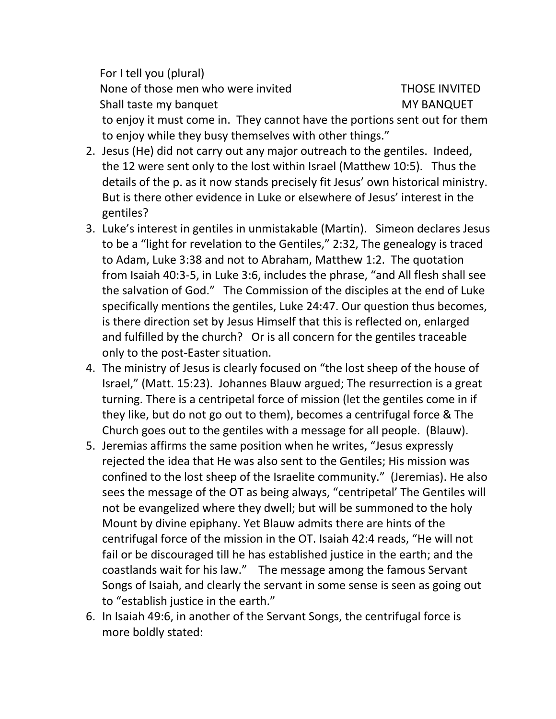For I tell you (plural) None of those men who were invited THOSE INVITED Shall taste my banquet MY BANQUET to enjoy it must come in. They cannot have the portions sent out for them to enjoy while they busy themselves with other things."

- 2. Jesus (He) did not carry out any major outreach to the gentiles. Indeed, the 12 were sent only to the lost within Israel (Matthew 10:5). Thus the details of the p. as it now stands precisely fit Jesus' own historical ministry. But is there other evidence in Luke or elsewhere of Jesus' interest in the gentiles?
- 3. Luke's interest in gentiles in unmistakable (Martin). Simeon declares Jesus to be a "light for revelation to the Gentiles," 2:32, The genealogy is traced to Adam, Luke 3:38 and not to Abraham, Matthew 1:2. The quotation from Isaiah 40:3-5, in Luke 3:6, includes the phrase, "and All flesh shall see the salvation of God." The Commission of the disciples at the end of Luke specifically mentions the gentiles, Luke 24:47. Our question thus becomes, is there direction set by Jesus Himself that this is reflected on, enlarged and fulfilled by the church? Or is all concern for the gentiles traceable only to the post-Easter situation.
- 4. The ministry of Jesus is clearly focused on "the lost sheep of the house of Israel," (Matt. 15:23). Johannes Blauw argued; The resurrection is a great turning. There is a centripetal force of mission (let the gentiles come in if they like, but do not go out to them), becomes a centrifugal force & The Church goes out to the gentiles with a message for all people. (Blauw).
- 5. Jeremias affirms the same position when he writes, "Jesus expressly rejected the idea that He was also sent to the Gentiles; His mission was confined to the lost sheep of the Israelite community." (Jeremias). He also sees the message of the OT as being always, "centripetal' The Gentiles will not be evangelized where they dwell; but will be summoned to the holy Mount by divine epiphany. Yet Blauw admits there are hints of the centrifugal force of the mission in the OT. Isaiah 42:4 reads, "He will not fail or be discouraged till he has established justice in the earth; and the coastlands wait for his law." The message among the famous Servant Songs of Isaiah, and clearly the servant in some sense is seen as going out to "establish justice in the earth."
- 6. In Isaiah 49:6, in another of the Servant Songs, the centrifugal force is more boldly stated: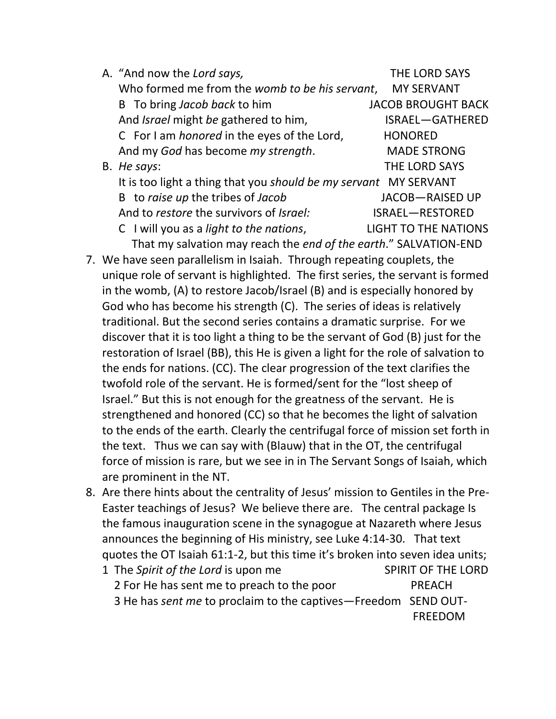| A. "And now the Lord says,                                       | THE LORD SAYS               |  |
|------------------------------------------------------------------|-----------------------------|--|
| Who formed me from the womb to be his servant,                   | <b>MY SERVANT</b>           |  |
| B To bring Jacob back to him                                     | <b>JACOB BROUGHT BACK</b>   |  |
| And Israel might be gathered to him,                             | ISRAEL-GATHERED             |  |
| C For I am <i>honored</i> in the eyes of the Lord,               | <b>HONORED</b>              |  |
| And my God has become my strength.                               | <b>MADE STRONG</b>          |  |
| B. He says:                                                      | <b>THE LORD SAYS</b>        |  |
| It is too light a thing that you should be my servant MY SERVANT |                             |  |
| B to raise up the tribes of Jacob                                | <b>JACOB-RAISED UP</b>      |  |
| And to restore the survivors of Israel:                          | ISRAEL-RESTORED             |  |
| C I will you as a light to the nations,                          | <b>LIGHT TO THE NATIONS</b> |  |

That my salvation may reach the *end of the earth*." SALVATION-END

- 7. We have seen parallelism in Isaiah. Through repeating couplets, the unique role of servant is highlighted. The first series, the servant is formed in the womb, (A) to restore Jacob/Israel (B) and is especially honored by God who has become his strength (C). The series of ideas is relatively traditional. But the second series contains a dramatic surprise. For we discover that it is too light a thing to be the servant of God (B) just for the restoration of Israel (BB), this He is given a light for the role of salvation to the ends for nations. (CC). The clear progression of the text clarifies the twofold role of the servant. He is formed/sent for the "lost sheep of Israel." But this is not enough for the greatness of the servant. He is strengthened and honored (CC) so that he becomes the light of salvation to the ends of the earth. Clearly the centrifugal force of mission set forth in the text. Thus we can say with (Blauw) that in the OT, the centrifugal force of mission is rare, but we see in in The Servant Songs of Isaiah, which are prominent in the NT.
- 8. Are there hints about the centrality of Jesus' mission to Gentiles in the Pre-Easter teachings of Jesus? We believe there are. The central package Is the famous inauguration scene in the synagogue at Nazareth where Jesus announces the beginning of His ministry, see Luke 4:14-30. That text quotes the OT Isaiah 61:1-2, but this time it's broken into seven idea units; 1 The *Spirit of the Lord* is upon me SPIRIT OF THE LORD

| 2 For He has sent me to preach to the poor                     | PREACH         |
|----------------------------------------------------------------|----------------|
| 3 He has sent me to proclaim to the captives-Freedom SEND OUT- |                |
|                                                                | <b>FREEDOM</b> |